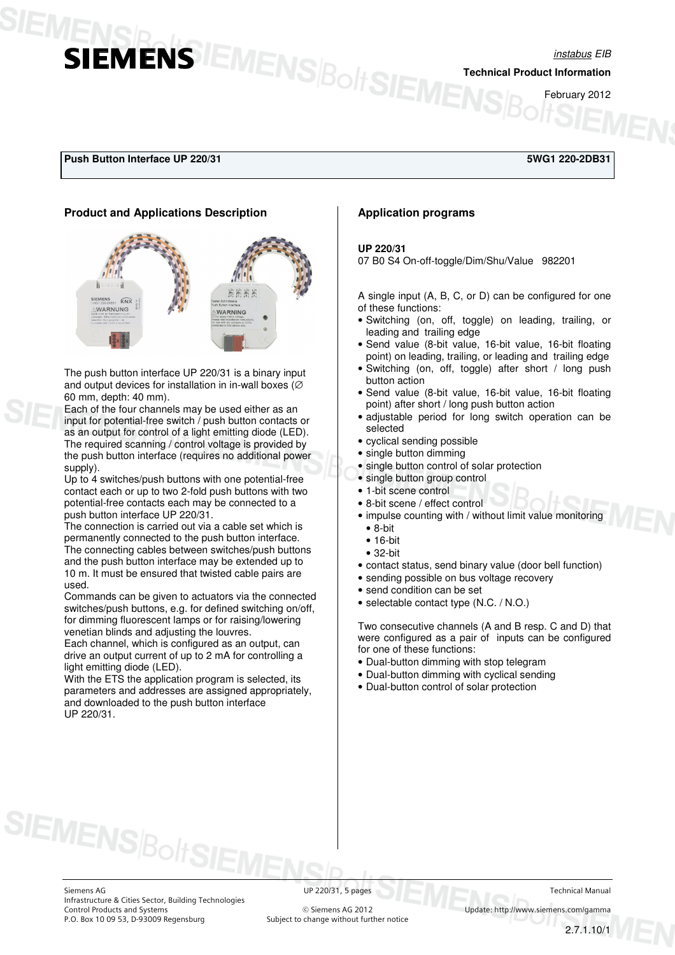## instabus EIB **SIEMENS**<br> **SIEMENS**<br> **EMENS**<br> **EMENS**<br> **EDENTENS**<br> **EDENTENS**<br> **EDENTENS**

February 2012

#### **Push Button Interface UP 220/31 5WG1 220-2DB31**

#### **Product and Applications Description**



The push button interface UP 220/31 is a binary input and output devices for installation in in-wall boxes (∅ 60 mm, depth: 40 mm).

Each of the four channels may be used either as an input for potential-free switch / push button contacts or as an output for control of a light emitting diode (LED). The required scanning / control voltage is provided by the push button interface (requires no additional power supply).

Up to 4 switches/push buttons with one potential-free contact each or up to two 2-fold push buttons with two potential-free contacts each may be connected to a push button interface UP 220/31.

The connection is carried out via a cable set which is permanently connected to the push button interface. The connecting cables between switches/push buttons and the push button interface may be extended up to 10 m. It must be ensured that twisted cable pairs are used.

Commands can be given to actuators via the connected switches/push buttons, e.g. for defined switching on/off, for dimming fluorescent lamps or for raising/lowering venetian blinds and adjusting the louvres.

Each channel, which is configured as an output, can drive an output current of up to 2 mA for controlling a light emitting diode (LED).

With the ETS the application program is selected, its parameters and addresses are assigned appropriately, and downloaded to the push button interface UP 220/31.

#### **Application programs**

#### **UP 220/31**

07 B0 S4 On-off-toggle/Dim/Shu/Value 982201

A single input (A, B, C, or D) can be configured for one of these functions:

- Switching (on, off, toggle) on leading, trailing, or leading and trailing edge
- Send value (8-bit value, 16-bit value, 16-bit floating point) on leading, trailing, or leading and trailing edge
- Switching (on, off, toggle) after short / long push button action
- Send value (8-bit value, 16-bit value, 16-bit floating point) after short / long push button action
- adjustable period for long switch operation can be selected
- cyclical sending possible
- single button dimming
- single button control of solar protection
- single button group control
- 1-bit scene control
- 8-bit scene / effect control
- impulse counting with / without limit value monitoring • 8-bit
	- 16-bit
- 32-bit
- contact status, send binary value (door bell function)
- sending possible on bus voltage recovery
- send condition can be set
- selectable contact type (N.C. / N.O.)

Two consecutive channels (A and B resp. C and D) that were configured as a pair of inputs can be configured for one of these functions:

- Dual-button dimming with stop telegram
- Dual-button dimming with cyclical sending
- Dual-button control of solar protection

**SIEMENS**Bolt

Subject to change without further notice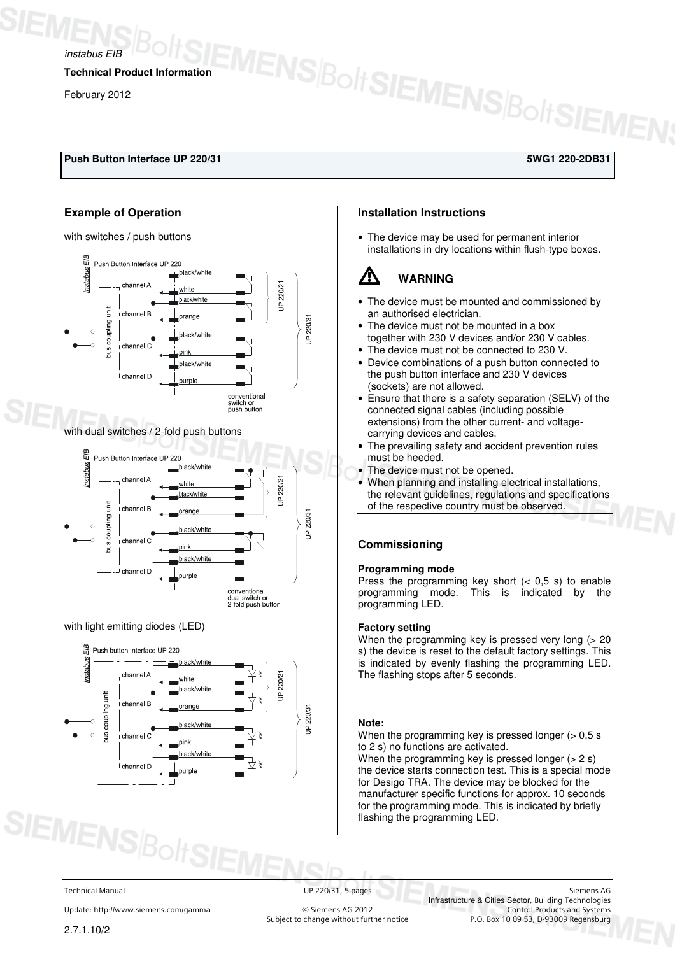

*Instabus EIB BOHSEMENSBOHSEMENSBOHSEMEN* 

February 2012

## **Push Button Interface UP 220/31 5WG1 220-2DB31**

#### **Example of Operation**

with switches / push buttons



#### with dual switches / 2-fold push buttons



#### with light emitting diodes (LED)



### **Installation Instructions**

• The device may be used for permanent interior installations in dry locations within flush-type boxes.

## V **WARNING**

- The device must be mounted and commissioned by an authorised electrician.
- The device must not be mounted in a box together with 230 V devices and/or 230 V cables.
- The device must not be connected to 230 V.
- Device combinations of a push button connected to the push button interface and 230 V devices (sockets) are not allowed.
- Ensure that there is a safety separation (SELV) of the connected signal cables (including possible extensions) from the other current- and voltagecarrying devices and cables.
- The prevailing safety and accident prevention rules must be heeded.
- The device must not be opened.
- When planning and installing electrical installations, the relevant guidelines, regulations and specifications of the respective country must be observed.

#### **Commissioning**

#### **Programming mode**

Press the programming key short  $($   $<$  0,5 s) to enable programming mode. This is indicated by the programming LED.

#### **Factory setting**

When the programming key is pressed very long  $(> 20)$ s) the device is reset to the default factory settings. This is indicated by evenly flashing the programming LED. The flashing stops after 5 seconds.

#### **Note:**

When the programming key is pressed longer  $($  > 0,5 s to 2 s) no functions are activated. When the programming key is pressed longer  $(> 2 s)$ the device starts connection test. This is a special mode for Desigo TRA. The device may be blocked for the manufacturer specific functions for approx. 10 seconds for the programming mode. This is indicated by briefly flashing the programming LED.

Update: http://www.siemens.com/gamma 
© Siemens AG 2012<br>
Subject to change without further notice

Technical Manual UP 220/31, 5 pages Siemens AG Infrastructure & Cities Sector, Building Technologies P.O. Box 10 09 53, D-93009 Regensburg

**SIEMENS**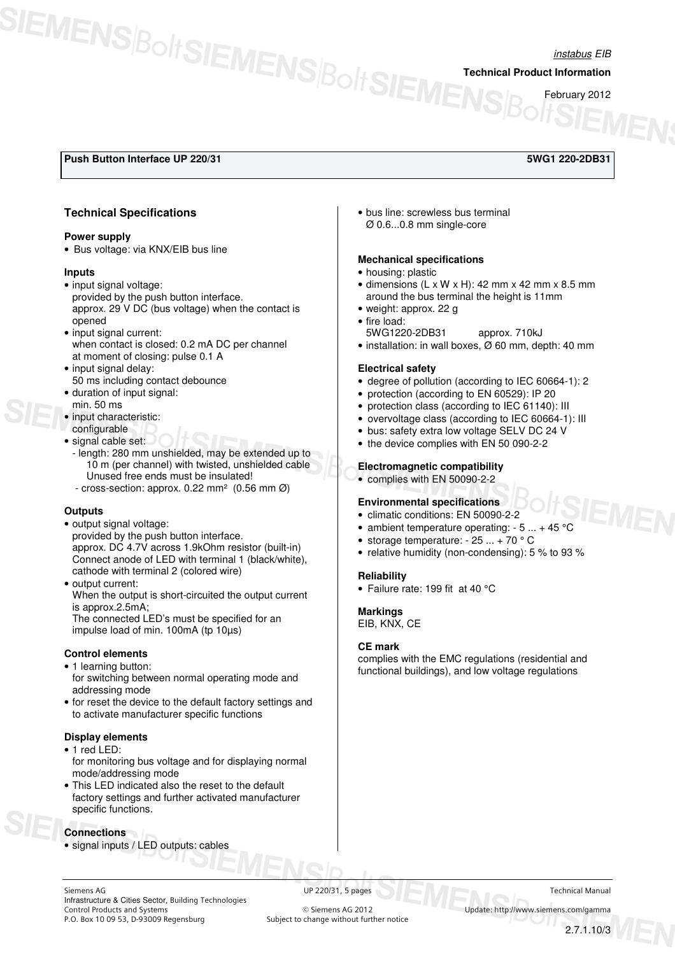# instabus EIB **SIEMENS**BOLT SIEMENSBOLT SIEMENS ROLLEND

February 2012

## **Push Button Interface UP 220/31 5WG1 220-2DB31**

#### **Technical Specifications**

#### **Power supply**

• Bus voltage: via KNX/EIB bus line

#### **Inputs**

- input signal voltage: provided by the push button interface. approx. 29 V DC (bus voltage) when the contact is opened
- input signal current: when contact is closed: 0.2 mA DC per channel at moment of closing: pulse 0.1 A
- input signal delay: 50 ms including contact debounce
- duration of input signal: min. 50 ms
- input characteristic:
- configurable
- signal cable set:
- length: 280 mm unshielded, may be extended up to 10 m (per channel) with twisted, unshielded cable Unused free ends must be insulated!
- cross-section: approx. 0.22 mm² (0.56 mm Ø)

#### **Outputs**

- output signal voltage: provided by the push button interface. approx. DC 4.7V across 1.9kOhm resistor (built-in) Connect anode of LED with terminal 1 (black/white), cathode with terminal 2 (colored wire)
- output current: When the output is short-circuited the output current is approx.2.5mA; The connected LED's must be specified for an impulse load of min. 100mA (tp 10µs)

#### **Control elements**

- 1 learning button: for switching between normal operating mode and addressing mode
- for reset the device to the default factory settings and to activate manufacturer specific functions

#### **Display elements**

- 1 red LED:
- for monitoring bus voltage and for displaying normal mode/addressing mode
- This LED indicated also the reset to the default factory settings and further activated manufacturer specific functions.

#### **Connections**

• signal inputs / LED outputs: cables

• bus line: screwless bus terminal Ø 0.6...0.8 mm single-core

#### **Mechanical specifications**

- housing: plastic
- $\bullet$  dimensions (L x W x H): 42 mm x 42 mm x 8.5 mm around the bus terminal the height is 11mm
- weight: approx. 22 g
- fire load:
	- 5WG1220-2DB31 approx. 710kJ
- installation: in wall boxes, Ø 60 mm, depth: 40 mm

#### **Electrical safety**

- degree of pollution (according to IEC 60664-1): 2
- protection (according to EN 60529): IP 20
- protection class (according to IEC 61140): III
- overvoltage class (according to IEC 60664-1): III
- bus: safety extra low voltage SELV DC 24 V
- the device complies with EN 50 090-2-2

#### **Electromagnetic compatibility**

• complies with EN 50090-2-2

#### **Environmental specifications**

- climatic conditions: EN 50090-2-2
- ambient temperature operating:  $-5... + 45$  °C
- storage temperature:  $-25$  ...  $+70$   $^{\circ}$  C
- relative humidity (non-condensing): 5 % to 93 %

#### **Reliability**

• Failure rate: 199 fit at 40 °C

#### **Markings**

EIB, KNX, CE

#### **CE mark**

complies with the EMC regulations (residential and functional buildings), and low voltage regulations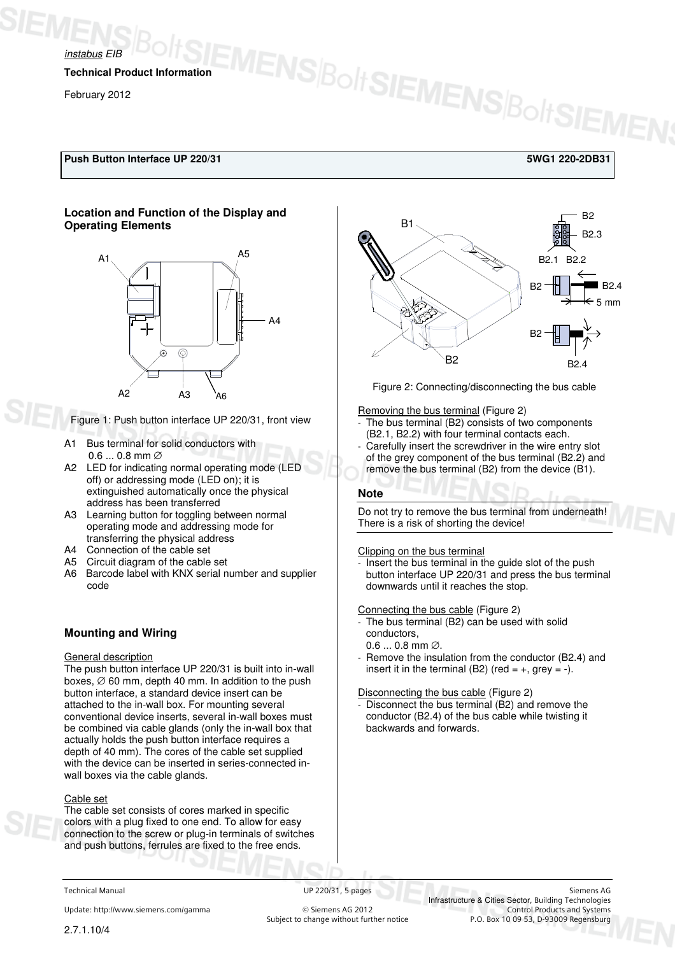

**Technical Product Information** 

February 2012

#### **Push Button Interface UP 220/31 5WG1 220-2DB31**

#### **Location and Function of the Display and Operating Elements**



Figure 1: Push button interface UP 220/31, front view

- A1 Bus terminal for solid conductors with 0.6 ... 0.8 mm ∅
- A2 LED for indicating normal operating mode (LED off) or addressing mode (LED on); it is extinguished automatically once the physical address has been transferred
- A3 Learning button for toggling between normal operating mode and addressing mode for transferring the physical address
- A4 Connection of the cable set
- A5 Circuit diagram of the cable set
- A6 Barcode label with KNX serial number and supplier code

#### **Mounting and Wiring**

#### General description

The push button interface UP 220/31 is built into in-wall boxes,  $\varnothing$  60 mm, depth 40 mm. In addition to the push button interface, a standard device insert can be attached to the in-wall box. For mounting several conventional device inserts, several in-wall boxes must be combined via cable glands (only the in-wall box that actually holds the push button interface requires a depth of 40 mm). The cores of the cable set supplied with the device can be inserted in series-connected inwall boxes via the cable glands.

#### Cable set

The cable set consists of cores marked in specific colors with a plug fixed to one end. To allow for easy connection to the screw or plug-in terminals of switches and push buttons, ferrules are fixed to the free ends.



Figure 2: Connecting/disconnecting the bus cable

Removing the bus terminal (Figure 2)

EMENS|BoltSIEMENS|BoltSIEMEN

- The bus terminal (B2) consists of two components (B2.1, B2.2) with four terminal contacts each.
- Carefully insert the screwdriver in the wire entry slot of the grey component of the bus terminal (B2.2) and remove the bus terminal (B2) from the device (B1).

#### **Note**

Do not try to remove the bus terminal from underneath! There is a risk of shorting the device!

#### Clipping on the bus terminal

Insert the bus terminal in the guide slot of the push button interface UP 220/31 and press the bus terminal downwards until it reaches the stop.

#### Connecting the bus cable (Figure 2)

- The bus terminal (B2) can be used with solid conductors,
	- 0.6 ... 0.8 mm ∅.
- Remove the insulation from the conductor (B2.4) and insert it in the terminal (B2) (red =  $+$ , grey =  $-$ ).

Disconnecting the bus cable (Figure 2)

Disconnect the bus terminal (B2) and remove the conductor (B2.4) of the bus cable while twisting it backwards and forwards.

Update: http://www.siemens.com/gamma  $\bullet$  Subject to change without further notice